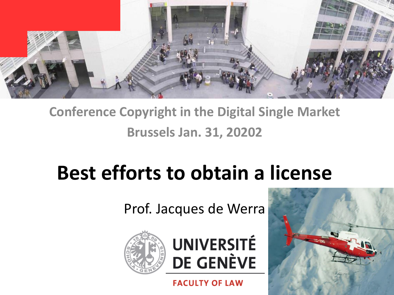

#### **Conference Copyright in the Digital Single Market Brussels Jan. 31, 20202**

# **Best efforts to obtain a license**

Prof. Jacques de Werra



**UNIVERSITÉ DE GENÈVE** 

**FACULTY OF LAW** 

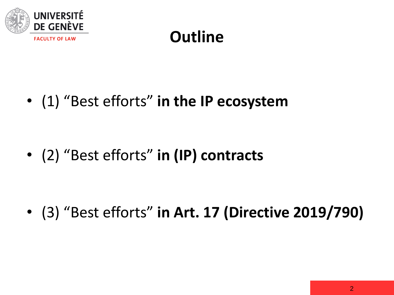

### **Outline**

• (1) "Best efforts" **in the IP ecosystem**

• (2) "Best efforts" **in (IP) contracts**

• (3) "Best efforts" **in Art. 17 (Directive 2019/790)**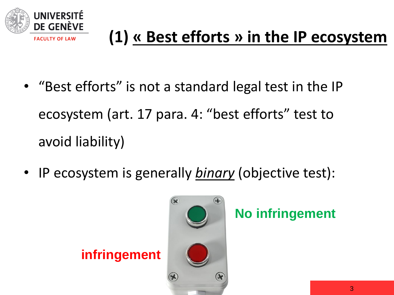

- "Best efforts" is not a standard legal test in the IP ecosystem (art. 17 para. 4: "best efforts" test to avoid liability)
- IP ecosystem is generally *binary* (objective test):



**No infringement**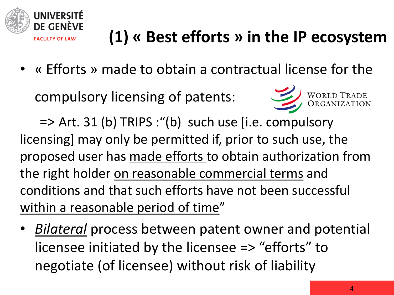

• « Efforts » made to obtain a contractual license for the

compulsory licensing of patents:



=> Art. 31 (b) TRIPS :"(b) such use [i.e. compulsory licensing] may only be permitted if, prior to such use, the proposed user has made efforts to obtain authorization from the right holder on reasonable commercial terms and conditions and that such efforts have not been successful within a reasonable period of time"

• *Bilateral* process between patent owner and potential licensee initiated by the licensee => "efforts" to negotiate (of licensee) without risk of liability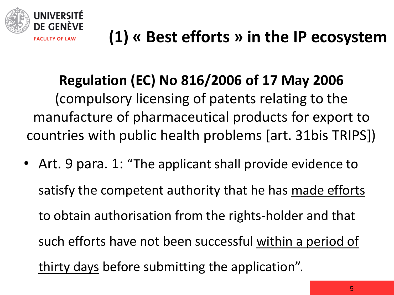

### **Regulation (EC) No 816/2006 of 17 May 2006**

(compulsory licensing of patents relating to the manufacture of pharmaceutical products for export to countries with public health problems [art. 31bis TRIPS])

• Art. 9 para. 1: "The applicant shall provide evidence to satisfy the competent authority that he has made efforts to obtain authorisation from the rights-holder and that such efforts have not been successful within a period of thirty days before submitting the application".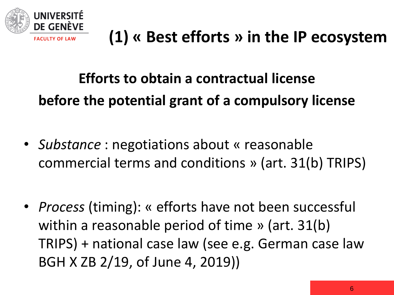

### **Efforts to obtain a contractual license before the potential grant of a compulsory license**

- *Substance* : negotiations about « reasonable commercial terms and conditions » (art. 31(b) TRIPS)
- *Process* (timing): « efforts have not been successful within a reasonable period of time » (art. 31(b) TRIPS) + national case law (see e.g. German case law BGH X ZB 2/19, of June 4, 2019))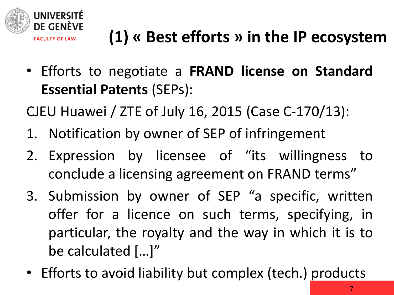

• Efforts to negotiate a **FRAND license on Standard Essential Patents** (SEPs):

CJEU Huawei / ZTE of July 16, 2015 (Case C-170/13):

- 1. Notification by owner of SEP of infringement
- 2. Expression by licensee of "its willingness to conclude a licensing agreement on FRAND terms"
- 3. Submission by owner of SEP "a specific, written offer for a licence on such terms, specifying, in particular, the royalty and the way in which it is to be calculated […]"
- Efforts to avoid liability but complex (tech.) products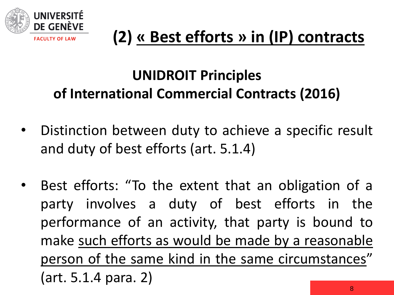

#### **UNIDROIT Principles of International Commercial Contracts (2016)**

- Distinction between duty to achieve a specific result and duty of best efforts (art. 5.1.4)
- Best efforts: "To the extent that an obligation of a party involves a duty of best efforts in the performance of an activity, that party is bound to make such efforts as would be made by a reasonable person of the same kind in the same circumstances" (art. 5.1.4 para. 2)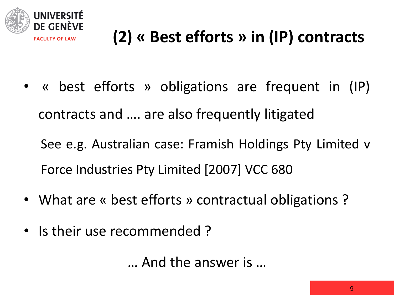

• « best efforts » obligations are frequent in (IP) contracts and …. are also frequently litigated

See e.g. Australian case: Framish Holdings Pty Limited v Force Industries Pty Limited [2007] VCC 680

- What are « best efforts » contractual obligations?
- Is their use recommended ?

… And the answer is …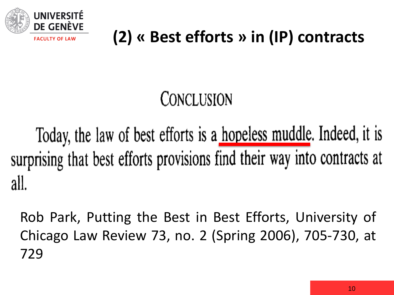

# CONCLUSION

Today, the law of best efforts is a hopeless muddle. Indeed, it is surprising that best efforts provisions find their way into contracts at all.

Rob Park, Putting the Best in Best Efforts, University of Chicago Law Review 73, no. 2 (Spring 2006), 705-730, at 729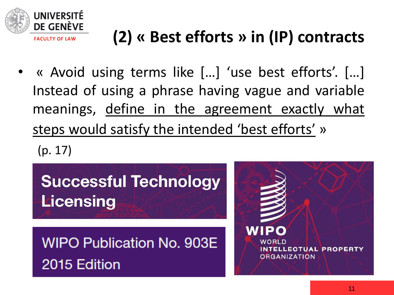

• « Avoid using terms like […] 'use best efforts'. […] Instead of using a phrase having vague and variable meanings, define in the agreement exactly what steps would satisfy the intended 'best efforts' »

(p. 17)

**Successful Technology Licensing** 

**WIPO Publication No. 903E** 2015 Edition

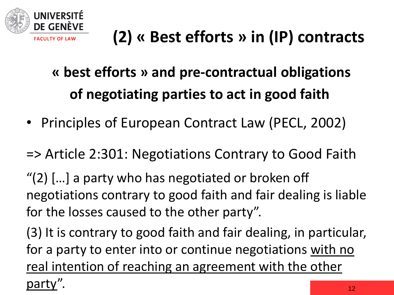

- **« best efforts » and pre-contractual obligations of negotiating parties to act in good faith**
- Principles of European Contract Law (PECL, 2002)

=> Article 2:301: Negotiations Contrary to Good Faith

"(2) […] a party who has negotiated or broken off negotiations contrary to good faith and fair dealing is liable for the losses caused to the other party".

(3) It is contrary to good faith and fair dealing, in particular, for a party to enter into or continue negotiations with no real intention of reaching an agreement with the other party".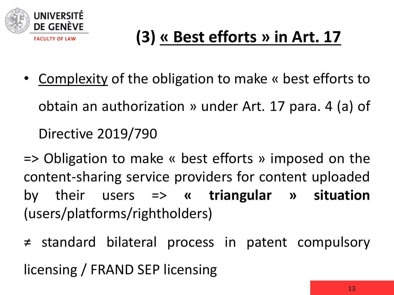

- Complexity of the obligation to make « best efforts to obtain an authorization » under Art. 17 para. 4 (a) of Directive 2019/790
- => Obligation to make « best efforts » imposed on the content-sharing service providers for content uploaded by their users => **« triangular » situation** (users/platforms/rightholders)
- ≠ standard bilateral process in patent compulsory licensing / FRAND SEP licensing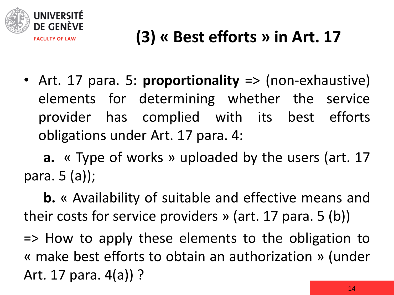

• Art. 17 para. 5: **proportionality** => (non-exhaustive) elements for determining whether the service provider has complied with its best efforts obligations under Art. 17 para. 4:

**a.** « Type of works » uploaded by the users (art. 17 para. 5 (a));

**b.** « Availability of suitable and effective means and their costs for service providers » (art. 17 para. 5 (b))

=> How to apply these elements to the obligation to « make best efforts to obtain an authorization » (under Art. 17 para. 4(a)) ?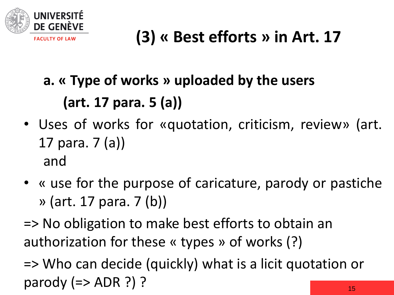

# **a. « Type of works » uploaded by the users (art. 17 para. 5 (a))**

- Uses of works for «quotation, criticism, review» (art. 17 para. 7 (a)) and
- « use for the purpose of caricature, parody or pastiche » (art. 17 para. 7 (b))
- => No obligation to make best efforts to obtain an authorization for these « types » of works (?)

15 => Who can decide (quickly) what is a licit quotation or parody  $(=>$  ADR  $?)$  ?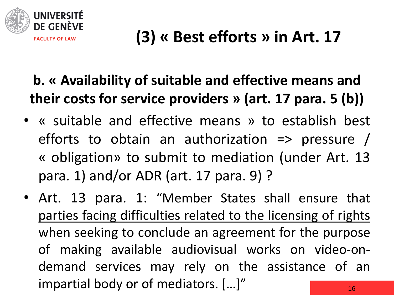

#### **b. « Availability of suitable and effective means and their costs for service providers » (art. 17 para. 5 (b))**

- « suitable and effective means » to establish best efforts to obtain an authorization  $\Rightarrow$  pressure / « obligation» to submit to mediation (under Art. 13 para. 1) and/or ADR (art. 17 para. 9) ?
- 16 • Art. 13 para. 1: "Member States shall ensure that parties facing difficulties related to the licensing of rights when seeking to conclude an agreement for the purpose of making available audiovisual works on video-ondemand services may rely on the assistance of an impartial body or of mediators. […]"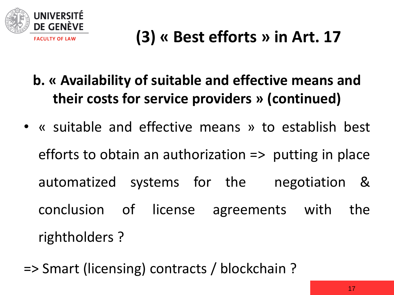

- **b. « Availability of suitable and effective means and their costs for service providers » (continued)**
- « suitable and effective means » to establish best efforts to obtain an authorization  $\Rightarrow$  putting in place automatized systems for the negotiation & conclusion of license agreements with the rightholders ?
- => Smart (licensing) contracts / blockchain ?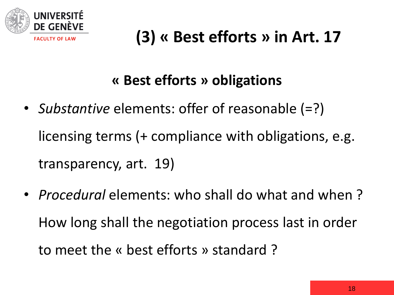

#### **« Best efforts » obligations**

- *Substantive* elements: offer of reasonable (=?) licensing terms (+ compliance with obligations, e.g. transparency, art. 19)
- *Procedural* elements: who shall do what and when ? How long shall the negotiation process last in order to meet the « best efforts » standard ?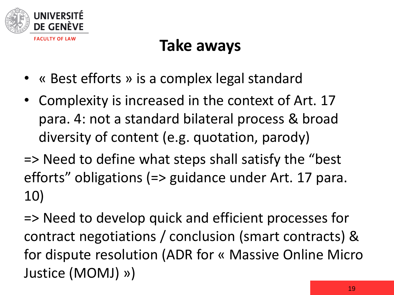

#### **Take aways**

- « Best efforts » is a complex legal standard
- Complexity is increased in the context of Art. 17 para. 4: not a standard bilateral process & broad diversity of content (e.g. quotation, parody)
- => Need to define what steps shall satisfy the "best efforts" obligations (=> guidance under Art. 17 para. 10)

=> Need to develop quick and efficient processes for contract negotiations / conclusion (smart contracts) & for dispute resolution (ADR for « Massive Online Micro Justice (MOMJ) »)